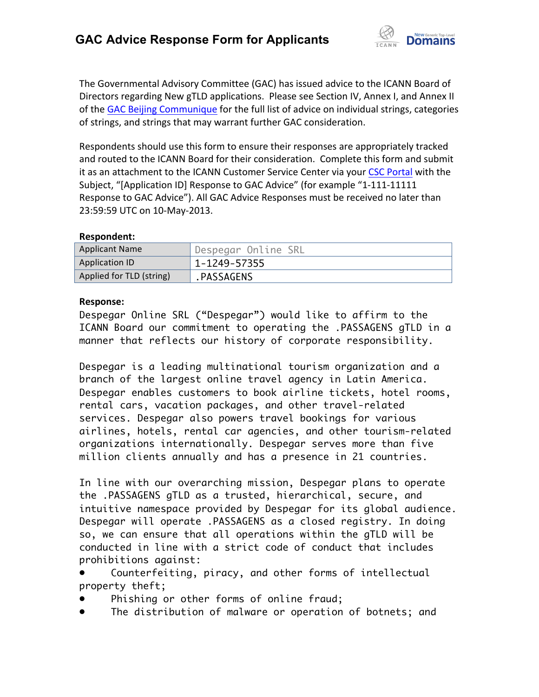

The Governmental Advisory Committee (GAC) has issued advice to the ICANN Board of Directors regarding New gTLD applications. Please see Section IV, Annex I, and Annex II of the GAC Beijing Communique for the full list of advice on individual strings, categories of strings, and strings that may warrant further GAC consideration.

Respondents should use this form to ensure their responses are appropriately tracked and routed to the ICANN Board for their consideration. Complete this form and submit it as an attachment to the ICANN Customer Service Center via your CSC Portal with the Subject, "[Application ID] Response to GAC Advice" (for example "1-111-11111 Response to GAC Advice"). All GAC Advice Responses must be received no later than 23:59:59 UTC on 10-May-2013.

## **Respondent:**

| <b>Applicant Name</b>    | Despegar Online SRL |
|--------------------------|---------------------|
| <b>Application ID</b>    | 1-1249-57355        |
| Applied for TLD (string) | .PASSAGENS          |

## **Response:**

Despegar Online SRL ("Despegar") would like to affirm to the ICANN Board our commitment to operating the .PASSAGENS gTLD in a manner that reflects our history of corporate responsibility.

Despegar is a leading multinational tourism organization and a branch of the largest online travel agency in Latin America. Despegar enables customers to book airline tickets, hotel rooms, rental cars, vacation packages, and other travel-related services. Despegar also powers travel bookings for various airlines, hotels, rental car agencies, and other tourism-related organizations internationally. Despegar serves more than five million clients annually and has a presence in 21 countries.

In line with our overarching mission, Despegar plans to operate the .PASSAGENS gTLD as a trusted, hierarchical, secure, and intuitive namespace provided by Despegar for its global audience. Despegar will operate .PASSAGENS as a closed registry. In doing so, we can ensure that all operations within the gTLD will be conducted in line with a strict code of conduct that includes prohibitions against:

Counterfeiting, piracy, and other forms of intellectual property theft;

- Phishing or other forms of online fraud;
- The distribution of malware or operation of botnets; and